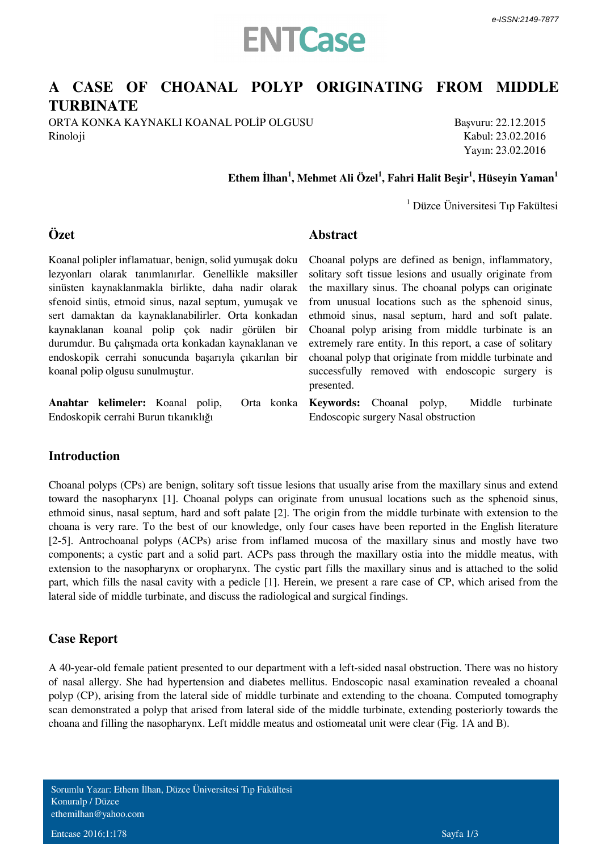

## **A CASE OF CHOANAL POLYP ORIGINATING FROM MIDDLE TURBINATE**

**Abstract**

ORTA KONKA KAYNAKLI KOANAL POLİP OLGUSU Rinoloji

Başvuru: 22.12.2015 Kabul: 23.02.2016 Yayın: 23.02.2016

## **Ethem İlhan<sup>1</sup> , Mehmet Ali Özel<sup>1</sup> , Fahri Halit Beşir<sup>1</sup> , Hüseyin Yaman<sup>1</sup>**

1 Düzce Üniversitesi Tıp Fakültesi

## **Özet**

Koanal polipler inflamatuar, benign, solid yumuşak doku lezyonları olarak tanımlanırlar. Genellikle maksiller sinüsten kaynaklanmakla birlikte, daha nadir olarak sfenoid sinüs, etmoid sinus, nazal septum, yumuşak ve sert damaktan da kaynaklanabilirler. Orta konkadan kaynaklanan koanal polip çok nadir görülen bir durumdur. Bu çalışmada orta konkadan kaynaklanan ve endoskopik cerrahi sonucunda başarıyla çıkarılan bir koanal polip olgusu sunulmuştur.

Anahtar kelimeler: Koanal polip, *Endoskopik cerrahi Burun tıkanıklığı*

Choanal polyps are defined as benign, inflammatory, solitary soft tissue lesions and usually originate from the maxillary sinus. The choanal polyps can originate from unusual locations such as the sphenoid sinus, ethmoid sinus, nasal septum, hard and soft palate. Choanal polyp arising from middle turbinate is an extremely rare entity. In this report, a case of solitary choanal polyp that originate from middle turbinate and successfully removed with endoscopic surgery is presented.

**Keywords:** *Choanal polyp, Middle turbinate Endoscopic surgery Nasal obstruction*

#### **Introduction**

Choanal polyps (CPs) are benign, solitary soft tissue lesions that usually arise from the maxillary sinus and extend toward the nasopharynx [1]. Choanal polyps can originate from unusual locations such as the sphenoid sinus, ethmoid sinus, nasal septum, hard and soft palate [2]. The origin from the middle turbinate with extension to the choana is very rare. To the best of our knowledge, only four cases have been reported in the English literature [2-5]. Antrochoanal polyps (ACPs) arise from inflamed mucosa of the maxillary sinus and mostly have two components; a cystic part and a solid part. ACPs pass through the maxillary ostia into the middle meatus, with extension to the nasopharynx or oropharynx. The cystic part fills the maxillary sinus and is attached to the solid part, which fills the nasal cavity with a pedicle [1]. Herein, we present a rare case of CP, which arised from the lateral side of middle turbinate, and discuss the radiological and surgical findings.

## **Case Report**

A 40-year-old female patient presented to our department with a left-sided nasal obstruction. There was no history of nasal allergy. She had hypertension and diabetes mellitus. Endoscopic nasal examination revealed a choanal polyp (CP), arising from the lateral side of middle turbinate and extending to the choana. Computed tomography scan demonstrated a polyp that arised from lateral side of the middle turbinate, extending posteriorly towards the choana and filling the nasopharynx. Left middle meatus and ostiomeatal unit were clear (Fig. 1A and B).

Sorumlu Yazar: Ethem İlhan, Düzce Üniversitesi Tıp Fakültesi Konuralp / Düzce ethemilhan@yahoo.com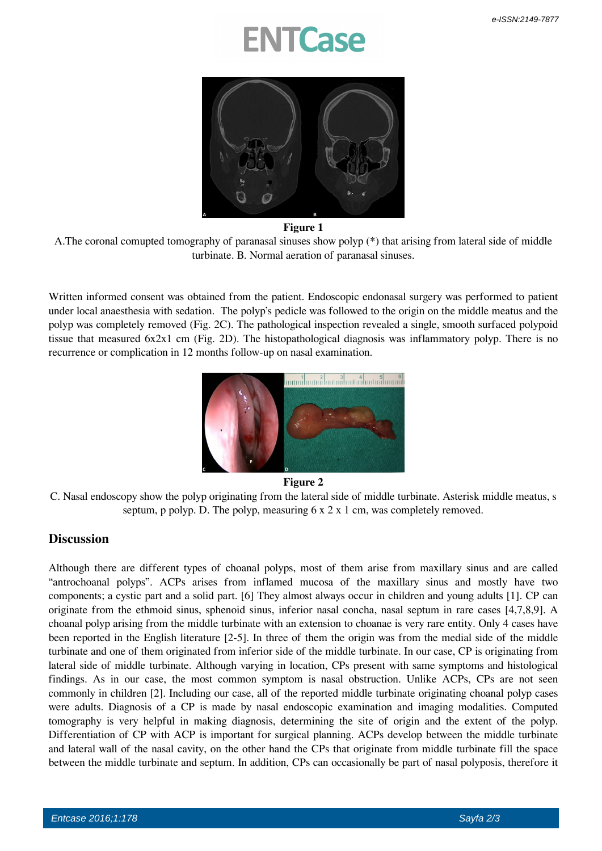## **NTCase**



#### **Figure 1**

A.The coronal comupted tomography of paranasal sinuses show polyp (\*) that arising from lateral side of middle turbinate. B. Normal aeration of paranasal sinuses.

Written informed consent was obtained from the patient. Endoscopic endonasal surgery was performed to patient under local anaesthesia with sedation. The polyp's pedicle was followed to the origin on the middle meatus and the polyp was completely removed (Fig. 2C). The pathological inspection revealed a single, smooth surfaced polypoid tissue that measured 6x2x1 cm (Fig. 2D). The histopathological diagnosis was inflammatory polyp. There is no recurrence or complication in 12 months follow-up on nasal examination.



#### **Figure 2**

C. Nasal endoscopy show the polyp originating from the lateral side of middle turbinate. Asterisk middle meatus, s septum, p polyp. D. The polyp, measuring  $6 \times 2 \times 1$  cm, was completely removed.

## **Discussion**

Although there are different types of choanal polyps, most of them arise from maxillary sinus and are called "antrochoanal polyps". ACPs arises from inflamed mucosa of the maxillary sinus and mostly have two components; a cystic part and a solid part. [6] They almost always occur in children and young adults [1]. CP can originate from the ethmoid sinus, sphenoid sinus, inferior nasal concha, nasal septum in rare cases [4,7,8,9]. A choanal polyp arising from the middle turbinate with an extension to choanae is very rare entity. Only 4 cases have been reported in the English literature [2-5]. In three of them the origin was from the medial side of the middle turbinate and one of them originated from inferior side of the middle turbinate. In our case, CP is originating from lateral side of middle turbinate. Although varying in location, CPs present with same symptoms and histological findings. As in our case, the most common symptom is nasal obstruction. Unlike ACPs, CPs are not seen commonly in children [2]. Including our case, all of the reported middle turbinate originating choanal polyp cases were adults. Diagnosis of a CP is made by nasal endoscopic examination and imaging modalities. Computed tomography is very helpful in making diagnosis, determining the site of origin and the extent of the polyp. Differentiation of CP with ACP is important for surgical planning. ACPs develop between the middle turbinate and lateral wall of the nasal cavity, on the other hand the CPs that originate from middle turbinate fill the space between the middle turbinate and septum. In addition, CPs can occasionally be part of nasal polyposis, therefore it